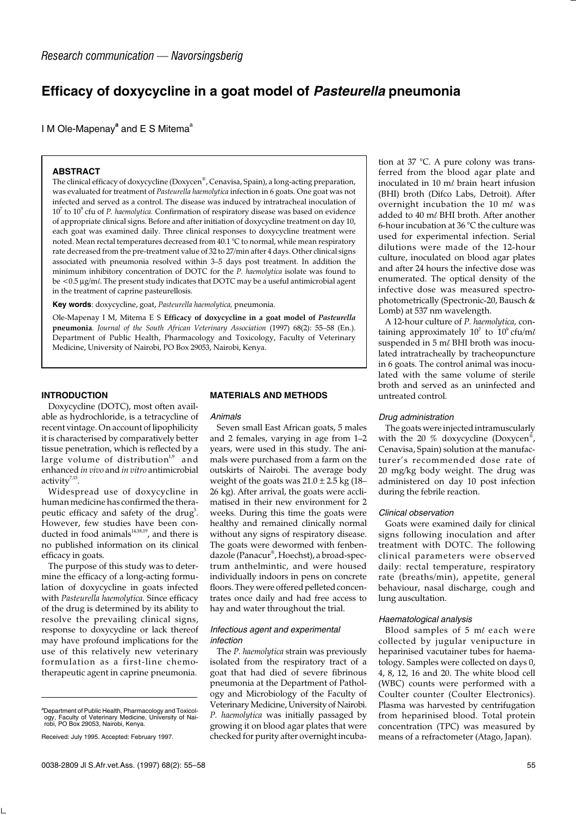# **Efficacy of doxycycline in a goat model of** *Pasteurella* **pneumonia**

I M Ole-Mapenay<sup>a</sup> and E S Mitema<sup>a</sup>

## **ABSTRACT**

The clinical efficacy of doxycycline (Doxycen®, Cenavisa, Spain), a long-acting preparation, was evaluated for treatment of *Pasteurella haemolytica* infection in 6 goats. One goat was not infected and served as a control. The disease was induced by intratracheal inoculation of 10<sup>7</sup> to 10<sup>9</sup> cfu of *P. haemolytica.* Confirmation of respiratory disease was based on evidence of appropriate clinical signs. Before and after initiation of doxycycline treatment on day 10, each goat was examined daily. Three clinical responses to doxycycline treatment were noted. Mean rectal temperatures decreased from 40.1 °C to normal, while mean respiratory rate decreased from the pre-treatment value of 32 to 27/min after 4 days. Other clinical signs associated with pneumonia resolved within 3–5 days post treatment. In addition the minimum inhibitory concentration of DOTC for the *P. haemolytica* isolate was found to be <0.5 µg/m*l*. The present study indicates that DOTC may be a useful antimicrobial agent in the treatment of caprine pasteurellosis.

**Key words**: doxycycline, goat, *Pasteurella haemolytica,* pneumonia.

Ole-Mapenay I M, Mitema E S **Efficacy of doxycycline in a goat model of** *Pasteurella* **pneumonia**. *Journal of the South African Veterinary Association* (1997) 68(2): 55–58 (En.). Department of Public Health, Pharmacology and Toxicology, Faculty of Veterinary Medicine, University of Nairobi, PO Box 29053, Nairobi, Kenya.

# **INTRODUCTION**

Doxycycline (DOTC), most often available as hydrochloride, is a tetracycline of recent vintage. On account of lipophilicity it is characterised by comparatively better tissue penetration, which is reflected by a large volume of distribution<sup>1,9</sup> and enhanced *in vivo* and *in vitro* antimicrobial activity $7,15$ .

Widespread use of doxycycline in human medicine has confirmed the therapeutic efficacy and safety of the drug<sup>5</sup>. However, few studies have been conducted in food animals<sup>14,18,19</sup>, and there is no published information on its clinical efficacy in goats.

The purpose of this study was to determine the efficacy of a long-acting formulation of doxycycline in goats infected with *Pasteurella haemolytica.* Since efficacy of the drug is determined by its ability to resolve the prevailing clinical signs, response to doxycycline or lack thereof may have profound implications for the use of this relatively new veterinary formulation as a first-line chemotherapeutic agent in caprine pneumonia.

#### **MATERIALS AND METHODS**

#### *Animals*

Seven small East African goats, 5 males and 2 females, varying in age from 1–2 years, were used in this study. The animals were purchased from a farm on the outskirts of Nairobi. The average body weight of the goats was  $21.0 \pm 2.5$  kg (18– 26 kg). After arrival, the goats were acclimatised in their new environment for 2 weeks. During this time the goats were healthy and remained clinically normal without any signs of respiratory disease. The goats were dewormed with fenbendazole (Panacur® , Hoechst), a broad-spectrum anthelmintic, and were housed individually indoors in pens on concrete floors. They were offered pelleted concentrates once daily and had free access to hay and water throughout the trial.

## *Infectious agent and experimental infection*

The *P. haemolytica* strain was previously isolated from the respiratory tract of a goat that had died of severe fibrinous pneumonia at the Department of Pathology and Microbiology of the Faculty of Veterinary Medicine, University of Nairobi. *P. haemolytica* was initially passaged by growing it on blood agar plates that were checked for purity after overnight incubation at 37 °C. A pure colony was transferred from the blood agar plate and inoculated in 10 m*l* brain heart infusion (BHI) broth (Difco Labs, Detroit). After overnight incubation the 10 m*l* was added to 40 m*l* BHI broth. After another 6-hour incubation at 36 °C the culture was used for experimental infection. Serial dilutions were made of the 12-hour culture, inoculated on blood agar plates and after 24 hours the infective dose was enumerated. The optical density of the infective dose was measured spectrophotometrically (Spectronic-20, Bausch & Lomb) at 537 nm wavelength.

A 12-hour culture of *P. haemolytica,* containing approximately  $10^7$  to  $10^9\,\text{ctu}/\text{m}\ell$ suspended in 5 m*l* BHI broth was inoculated intratracheally by tracheopuncture in 6 goats. The control animal was inoculated with the same volume of sterile broth and served as an uninfected and untreated control.

#### *Drug administration*

The goats were injected intramuscularly with the 20 % doxycycline (Doxycen® , Cenavisa, Spain) solution at the manufacturer's recommended dose rate of 20 mg/kg body weight. The drug was administered on day 10 post infection during the febrile reaction.

#### *Clinical observation*

Goats were examined daily for clinical signs following inoculation and after treatment with DOTC. The following clinical parameters were observed daily: rectal temperature, respiratory rate (breaths/min), appetite, general behaviour, nasal discharge, cough and lung auscultation.

#### *Haematological analysis*

Blood samples of 5 m*l* each were collected by jugular venipucture in heparinised vacutainer tubes for haematology. Samples were collected on days 0, 4, 8, 12, 16 and 20. The white blood cell (WBC) counts were performed with a Coulter counter (Coulter Electronics). Plasma was harvested by centrifugation from heparinised blood. Total protein concentration (TPC) was measured by means of a refractometer (Atago, Japan).

<sup>&</sup>lt;sup>a</sup>Department of Public Health, Pharmacology and Toxicology, Faculty of Veterinary Medicine, University of Nai-robi, PO Box 29053, Nairobi, Kenya.

Received: July 1995. Accepted: February 1997.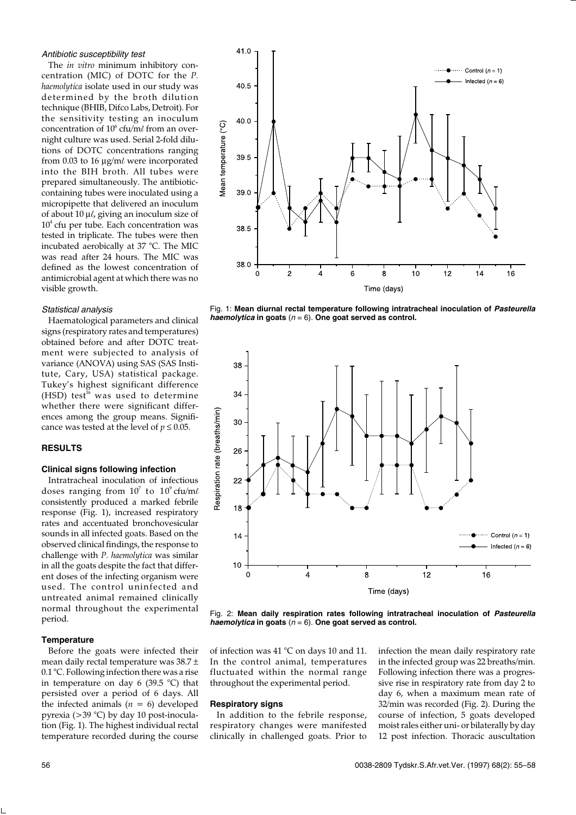# *Antibiotic susceptibility test*

The *in vitro* minimum inhibitory concentration (MIC) of DOTC for the *P. haemolytica* isolate used in our study was determined by the broth dilution technique (BHIB, Difco Labs, Detroit). For the sensitivity testing an inoculum concentration of 10<sup>6</sup> cfu/m*l* from an overnight culture was used. Serial 2-fold dilutions of DOTC concentrations ranging from 0.03 to 16 µg/m*l* were incorporated into the BIH broth. All tubes were prepared simultaneously. The antibioticcontaining tubes were inoculated using a micropipette that delivered an inoculum of about 10 µ*l*, giving an inoculum size of 10<sup>4</sup> cfu per tube. Each concentration was tested in triplicate. The tubes were then incubated aerobically at 37 °C. The MIC was read after 24 hours. The MIC was defined as the lowest concentration of antimicrobial agent at which there was no visible growth.

# *Statistical analysis*

Haematological parameters and clinical signs (respiratory rates and temperatures) obtained before and after DOTC treatment were subjected to analysis of variance (ANOVA) using SAS (SAS Institute, Cary, USA) statistical package. Tukey's highest significant difference (HSD) test<sup>16</sup> was used to determine whether there were significant differences among the group means. Significance was tested at the level of  $p \leq 0.05$ .

#### **RESULTS**

#### **Clinical signs following infection**

Intratracheal inoculation of infectious doses ranging from  $10^7$  to  $10^9\,$ cfu/m $\ell$ consistently produced a marked febrile response (Fig. 1), increased respiratory rates and accentuated bronchovesicular sounds in all infected goats. Based on the observed clinical findings, the response to challenge with *P. haemolytica* was similar in all the goats despite the fact that different doses of the infecting organism were used. The control uninfected and untreated animal remained clinically normal throughout the experimental period.

## **Temperature**

Before the goats were infected their mean daily rectal temperature was 38.7 ± 0.1 °C. Following infection there was a rise in temperature on day 6 (39.5 °C) that persisted over a period of 6 days. All the infected animals  $(n = 6)$  developed pyrexia (>39 °C) by day 10 post-inoculation (Fig. 1). The highest individual rectal temperature recorded during the course



Fig. 1: **Mean diurnal rectal temperature following intratracheal inoculation of** *Pasteurella haemolytica* **in goats** (*n* = 6). **One goat served as control.**



Fig. 2: **Mean daily respiration rates following intratracheal inoculation of** *Pasteurella haemolytica* **in goats** (*n* = 6). **One goat served as control.**

of infection was 41 °C on days 10 and 11. In the control animal, temperatures fluctuated within the normal range throughout the experimental period.

#### **Respiratory signs**

In addition to the febrile response, respiratory changes were manifested clinically in challenged goats. Prior to infection the mean daily respiratory rate in the infected group was 22 breaths/min. Following infection there was a progressive rise in respiratory rate from day 2 to day 6, when a maximum mean rate of 32/min was recorded (Fig. 2). During the course of infection, 5 goats developed moist rales either uni- or bilaterally by day 12 post infection. Thoracic auscultation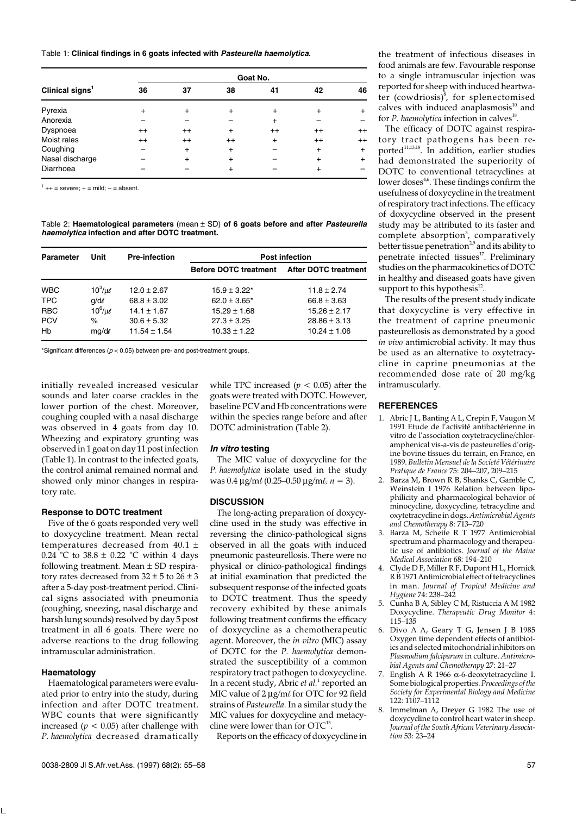Table 1: **Clinical findings in 6 goats infected with** *Pasteurella haemolytica.*

| Clinical signs <sup>1</sup> | Goat No.  |           |           |           |           |           |  |
|-----------------------------|-----------|-----------|-----------|-----------|-----------|-----------|--|
|                             | 36        | 37        | 38        | 41        | 42        | 46        |  |
| Pyrexia                     | $\ddot{}$ | $\ddot{}$ | $\ddot{}$ | $\ddot{}$ | $\div$    | $^{+}$    |  |
| Anorexia                    |           |           |           | $\ddot{}$ |           |           |  |
| Dyspnoea                    | $^{++}$   | $^{++}$   | $\ddot{}$ | $^{++}$   | $^{++}$   | $++$      |  |
| Moist rales                 | $^{++}$   | $^{++}$   | $^{++}$   | $\ddot{}$ | $^{++}$   | $^{++}$   |  |
| Coughing                    |           | $\ddot{}$ | $\ddot{}$ |           | $\ddot{}$ | $\ddot{}$ |  |
| Nasal discharge             |           | $\ddot{}$ | $\ddot{}$ |           | $\ddot{}$ | $\ddot{}$ |  |
| Diarrhoea                   |           |           | $\ddot{}$ |           | $\ddot{}$ |           |  |

 $1$  ++ = severe; + = mild; - = absent.

Table 2: **Haematological parameters** (mean ± SD) **of 6 goats before and after** *Pasteurella haemolytica* **infection and after DOTC treatment.**

| <b>Parameter</b> | Unit             | <b>Pre-infection</b> | <b>Post infection</b>        |                             |  |
|------------------|------------------|----------------------|------------------------------|-----------------------------|--|
|                  |                  |                      | <b>Before DOTC treatment</b> | <b>After DOTC treatment</b> |  |
| <b>WBC</b>       | $10^3/\mu$       | $12.0 \pm 2.67$      | $15.9 \pm 3.22^*$            | $11.8 \pm 2.74$             |  |
| <b>TPC</b>       | $q/d\ell$        | $68.8 \pm 3.02$      | $62.0 \pm 3.65^*$            | $66.8 \pm 3.63$             |  |
| <b>RBC</b>       | $10^6$ / $\mu$ e | $14.1 \pm 1.67$      | $15.29 \pm 1.68$             | $15.26 \pm 2.17$            |  |
| <b>PCV</b>       | $\%$             | $30.6 \pm 5.32$      | $27.3 \pm 3.25$              | $28.86 \pm 3.13$            |  |
| Hb               | $mg/d\ell$       | $11.54 \pm 1.54$     | $10.33 \pm 1.22$             | $10.24 \pm 1.06$            |  |

\*Significant differences (*p* < 0.05) between pre- and post-treatment groups.

initially revealed increased vesicular sounds and later coarse crackles in the lower portion of the chest. Moreover, coughing coupled with a nasal discharge was observed in 4 goats from day 10. Wheezing and expiratory grunting was observed in 1 goat on day 11 post infection (Table 1). In contrast to the infected goats, the control animal remained normal and showed only minor changes in respiratory rate.

# **Response to DOTC treatment**

Five of the 6 goats responded very well to doxycycline treatment. Mean rectal temperatures decreased from 40.1 ± 0.24 °C to 38.8  $\pm$  0.22 °C within 4 days following treatment. Mean ± SD respiratory rates decreased from  $32 \pm 5$  to  $26 \pm 3$ after a 5-day post-treatment period. Clinical signs associated with pneumonia (coughing, sneezing, nasal discharge and harsh lung sounds) resolved by day 5 post treatment in all 6 goats. There were no adverse reactions to the drug following intramuscular administration.

# **Haematology**

Haematological parameters were evaluated prior to entry into the study, during infection and after DOTC treatment. WBC counts that were significantly increased ( $p < 0.05$ ) after challenge with *P. haemolytica* decreased dramatically while TPC increased  $(p < 0.05)$  after the goats were treated with DOTC. However, baseline PCV and Hb concentrations were within the species range before and after DOTC administration (Table 2).

#### *In vitro* **testing**

The MIC value of doxycycline for the *P. haemolytica* isolate used in the study was 0.4 µg/m*l* (0.25–0.50 µg/m*l; n* = 3).

#### **DISCUSSION**

The long-acting preparation of doxycycline used in the study was effective in reversing the clinico-pathological signs observed in all the goats with induced pneumonic pasteurellosis. There were no physical or clinico-pathological findings at initial examination that predicted the subsequent response of the infected goats to DOTC treatment. Thus the speedy recovery exhibited by these animals following treatment confirms the efficacy of doxycycline as a chemotherapeutic agent. Moreover, the *in vitro* (MIC) assay of DOTC for the *P. haemolytica* demonstrated the susceptibility of a common respiratory tract pathogen to doxycycline. In a recent study, Abric *et al*.<sup>1</sup> reported an MIC value of 2 µg/m*l* for OTC for 92 field strains of *Pasteurella.* In a similar study the MIC values for doxycycline and metacycline were lower than for OTC<sup>13</sup>.

Reports on the efficacy of doxycycline in

the treatment of infectious diseases in food animals are few. Favourable response to a single intramuscular injection was reported for sheep with induced heartwater (cowdriosis)<sup>8</sup>, for splenectomised calves with induced anaplasmosis $^{10}$  and for *P. haemolytica* infection in calves<sup>18</sup>.

The efficacy of DOTC against respiratory tract pathogens has been reported<sup>11,13,18</sup>. In addition, earlier studies had demonstrated the superiority of DOTC to conventional tetracyclines at lower doses $4,6$ . These findings confirm the usefulness of doxycycline in the treatment of respiratory tract infections. The efficacy of doxycycline observed in the present study may be attributed to its faster and complete absorption<sup>3</sup>, comparatively better tissue penetration<sup>2,9</sup> and its ability to penetrate infected tissues<sup>17</sup>. Preliminary studies on the pharmacokinetics of DOTC in healthy and diseased goats have given support to this hypothesis<sup>12</sup>.

The results of the present study indicate that doxycycline is very effective in the treatment of caprine pneumonic pasteurellosis as demonstrated by a good *in vivo* antimicrobial activity. It may thus be used as an alternative to oxytetracycline in caprine pneumonias at the recommended dose rate of 20 mg/kg intramuscularly.

# **REFERENCES**

- 1. Abric J L, Banting A L, Crepin F, Vaugon M 1991 Etude de l'activité antibactérienne in vitro de l'association oxytetracycline/chloramphenical vis-a-vis de pasteurelles d'origine bovine tíssues du terrain, en France, en 1989. *Bulletin Mensuel de la Societé Vétérinaire Pratique de France* 75: 204–207, 209–215
- 2. Barza M, Brown R B, Shanks C, Gamble C, Weinstein I 1976 Relation between lipophilicity and pharmacological behavior of minocycline, doxycycline, tetracycline and oxytetracycline in dogs. *Antimicrobial Agents and Chemotherapy* 8: 713–720
- 3. Barza M, Scheife R T 1977 Antimicrobial spectrum and pharmacology and therapeutic use of antibiotics. *Journal of the Maine Medical Association* 68: 194–210
- 4. Clyde D F, Miller R F, Dupont H L, Hornick R B 1971 Antimicrobial effect of tetracyclines in man. *Journal of Tropical Medicine and Hygiene* 74: 238–242
- 5. Cunha B A, Sibley C M, Ristuccia A M 1982 Doxycycline. *Therapeutic Drug Monitor* 4: 115–135
- 6. Divo A A, Geary T G, Jensen J B 1985 Oxygen time dependent effects of antibiotics and selected mitochondrial inhibitors on *Plasmodium falciparum* in culture. *Antimicrobial Agents and Chemotherapy* 27: 21–27
- 7. English A R 1966 α-6-deoxytetracycline I. Some biological properties. *Proceedings of the Society for Experimental Biology and Medicine* 122: 1107–1112
- Immelman A, Dreyer G 1982 The use of doxycycline to control heart water in sheep. *Journal of the South African Veterinary Association* 53: 23–24